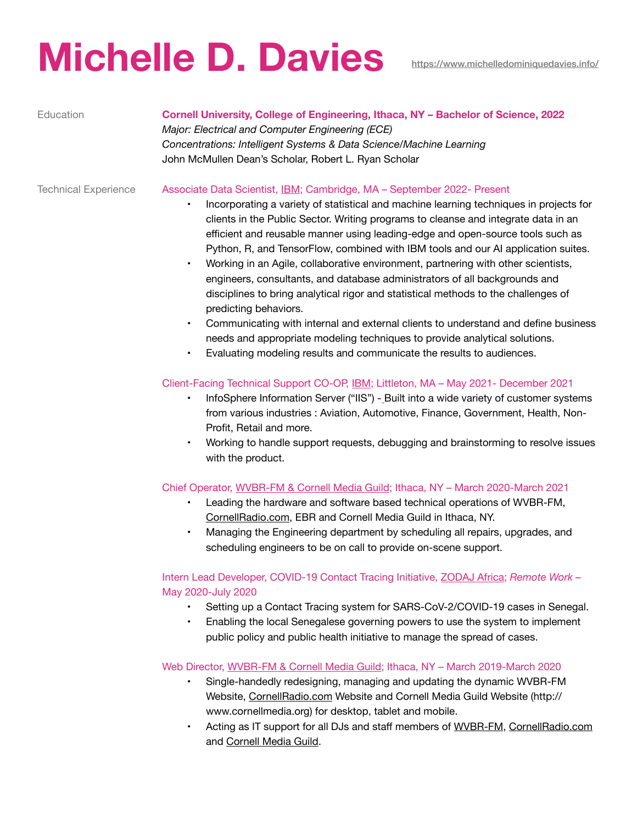# Michelle D. Davies **<https://www.michelledominiquedavies.info/>**

## Education **Cornell University, College of Engineering, Ithaca, NY – Bachelor of Science, 2022**

*Major: Electrical and Computer Engineering (ECE) Concentrations: Intelligent Systems & Data Science/Machine Learning* John McMullen Dean's Scholar, Robert L. Ryan Scholar

### Technical Experience Associate Data Scientist, IBM; Cambridge, MA – September 2022- Present

- Incorporating a variety of statistical and machine learning techniques in projects for clients in the Public Sector. Writing programs to cleanse and integrate data in an efficient and reusable manner using leading-edge and open-source tools such as Python, R, and TensorFlow, combined with IBM tools and our AI application suites.
- Working in an Agile, collaborative environment, partnering with other scientists, engineers, consultants, and database administrators of all backgrounds and disciplines to bring analytical rigor and statistical methods to the challenges of predicting behaviors.
- Communicating with internal and external clients to understand and define business needs and appropriate modeling techniques to provide analytical solutions.
- Evaluating modeling results and communicate the results to audiences.

## Client-Facing Technical Support CO-OP, IBM; Littleton, MA – May 2021- December 2021

- InfoSphere Information Server ("IIS") Built into a wide variety of customer systems from various industries : Aviation, Automotive, Finance, Government, Health, Non-Profit, Retail and more.
- Working to handle support requests, debugging and brainstorming to resolve issues with the product.

#### Chief Operator, WVBR-FM & Cornell Media Guild; Ithaca, NY – March 2020-March 2021

- Leading the hardware and software based technical operations of WVBR-FM, [CornellRadio.com](http://CornellRadio.com), EBR and Cornell Media Guild in Ithaca, NY.
- Managing the Engineering department by scheduling all repairs, upgrades, and scheduling engineers to be on call to provide on-scene support.

Intern Lead Developer, COVID-19 Contact Tracing Initiative, ZODAJ Africa; *Remote Work* – May 2020-July 2020

- Setting up a Contact Tracing system for SARS-CoV-2/COVID-19 cases in Senegal.
- Enabling the local Senegalese governing powers to use the system to implement public policy and public health initiative to manage the spread of cases.

Web Director, WVBR-FM & Cornell Media Guild; Ithaca, NY – March 2019-March 2020

- Single-handedly redesigning, managing and updating the dynamic WVBR-FM Website, [CornellRadio.com](http://CornellRadio.com) Website and Cornell Media Guild Website (http:// www.cornellmedia.org) for desktop, tablet and mobile.
- Acting as IT support for all DJs and staff members of [WVBR-FM,](http://www.wvbr.com) [CornellRadio.com](http://CornellRadio.com) and [Cornell Media Guild](http://www.cornellmedia.org).